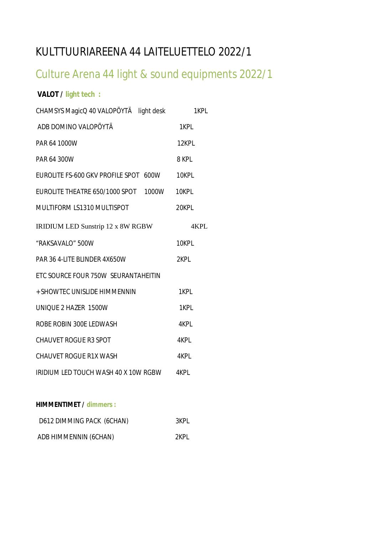# KULTTUURIAREENA 44 LAITELUETTELO 2022/1

# Culture Arena 44 light & sound equipments 2022/1

## **VALOT / light tech :**

| CHAMSYS MagicQ 40 VALOPÖYTÄ light desk      | 1KPL  |
|---------------------------------------------|-------|
| ADB DOMINO VALOPÖYTÄ                        | 1KPL  |
| PAR 64 1000W                                | 12KPL |
| PAR 64 300W                                 | 8 KPL |
| EUROLITE FS-600 GKV PROFILE SPOT 600W 10KPL |       |
| EUROLITE THEATRE 650/1000 SPOT 1000W 10KPL  |       |
| MULTIFORM LS1310 MULTISPOT                  | 20KPL |
| IRIDIUM LED Sunstrip 12 x 8W RGBW           | 4KPL  |
| "RAKSAVALO" 500W                            | 10KPL |
| PAR 36 4-LITE BLINDER 4X650W                | 2KPL  |
| ETC SOURCE FOUR 750W SEURANTAHEITIN         |       |
| + SHOWTEC UNISLIDE HIMMENNIN                | 1KPL  |
| UNIQUE 2 HAZER 1500W                        | 1KPL  |
| ROBE ROBIN 300E LEDWASH                     | 4KPL  |
| <b>CHAUVET ROGUE R3 SPOT</b>                | 4KPL  |
| <b>CHAUVET ROGUE R1X WASH</b>               | 4KPL  |
| IRIDIUM LED TOUCH WASH 40 X 10W RGBW 4KPL   |       |

### **HIMMENTIMET / dimmers :**

| D612 DIMMING PACK (6CHAN) | 3KPL |
|---------------------------|------|
| ADB HIMMENNIN (6CHAN)     | 2KPL |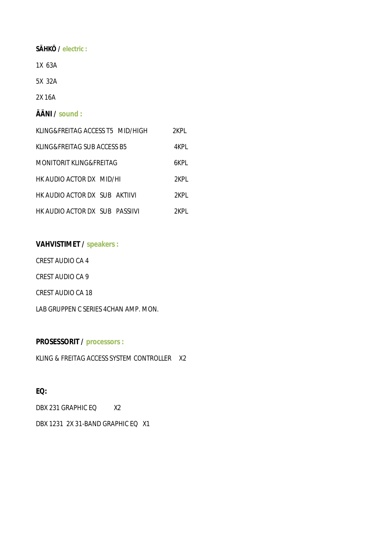**SÄHKÖ / electric :**

1X 63A

5X 32A

2X 16A

**ÄÄNI / sound :**

| KLING&FREITAG ACCESS T5 MID/HIGH | 2KPL  |
|----------------------------------|-------|
| KLING&FREITAG SUB ACCESS B5      | 4KPL  |
| MONITORIT KLING&FREITAG          | 6KPI. |
| HK AUDIO ACTOR DX MID/HI         | 2KPI. |
| HK AUDIO ACTOR DX SUB AKTIIVI    | 2KPI. |
| HK AUDIO ACTOR DX SUB PASSIIVI   | 2KPL  |

**VAHVISTIMET / speakers :**

CREST AUDIO CA 4

CREST AUDIO CA 9

CREST AUDIO CA 18

LAB GRUPPEN C SERIES 4CHAN AMP. MON.

**PROSESSORIT / processors :**

KLING & FREITAG ACCESS SYSTEM CONTROLLER X2

**EQ:**

DBX 231 GRAPHIC EQ X2

DBX 1231 2X 31-BAND GRAPHIC EQ X1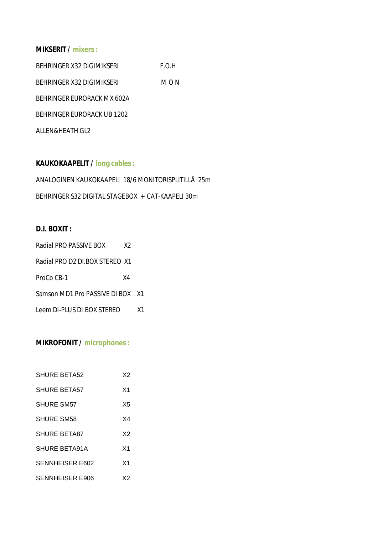## **MIKSERIT / mixers :**

| BEHRINGER X32 DIGIMIKSERI  | E.O.H |
|----------------------------|-------|
| BEHRINGER X32 DIGIMIKSERI  | M O N |
| BEHRINGER FURORACK MX 602A |       |
| BEHRINGER FURORACK UB 1202 |       |
| ALLEN&HEATH GL2            |       |

**KAUKOKAAPELIT / long cables :** ANALOGINEN KAUKOKAAPELI 18/6 MONITORISPLITILLÄ 25m BEHRINGER S32 DIGITAL STAGEBOX + CAT-KAAPELI 30m

## **D.I. BOXIT :**

| Radial PRO PASSIVE BOX        | X2 |      |
|-------------------------------|----|------|
| Radial PRO D2 DLBOX STEREO X1 |    |      |
| ProCo CB-1                    | X4 |      |
| Samson MD1 Pro PASSIVE DI BOX |    | - X1 |
| Leem DI-PLUS DI BOX STERFO    |    | X1   |

## **MIKROFONIT / microphones :**

| SHURE BETA52           | X2             |
|------------------------|----------------|
| <b>SHURE BETA57</b>    | X <sub>1</sub> |
| SHURE SM57             | X5             |
| SHURE SM58             | X4             |
| <b>SHURE BETA87</b>    | X2             |
| SHURE BETA91A          | X <sub>1</sub> |
| <b>SENNHEISER E602</b> | X <sub>1</sub> |
| SENNHEISER E906        | X2             |